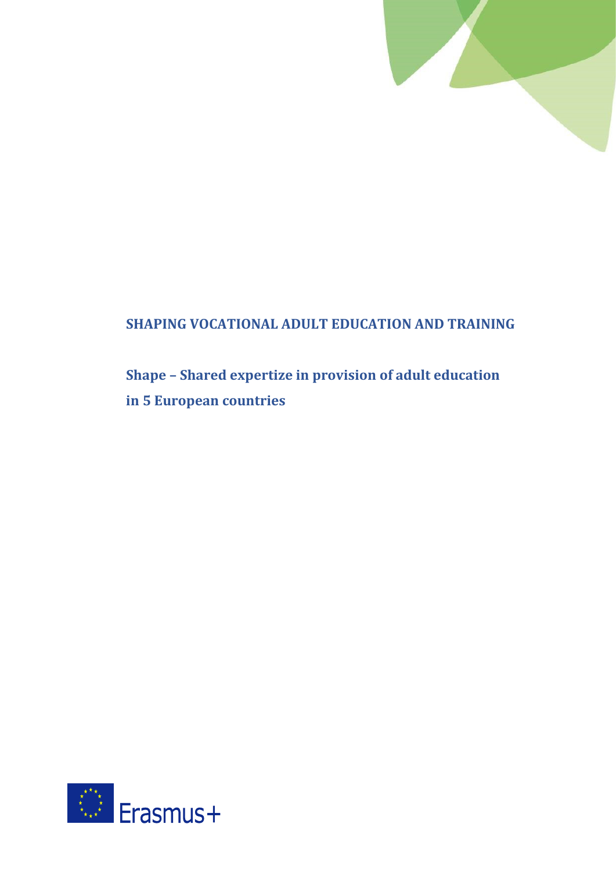

## **SHAPING VOCATIONAL ADULT EDUCATION AND TRAINING**

# **Shape – Shared expertize in provision of adult education in 5 European countries**

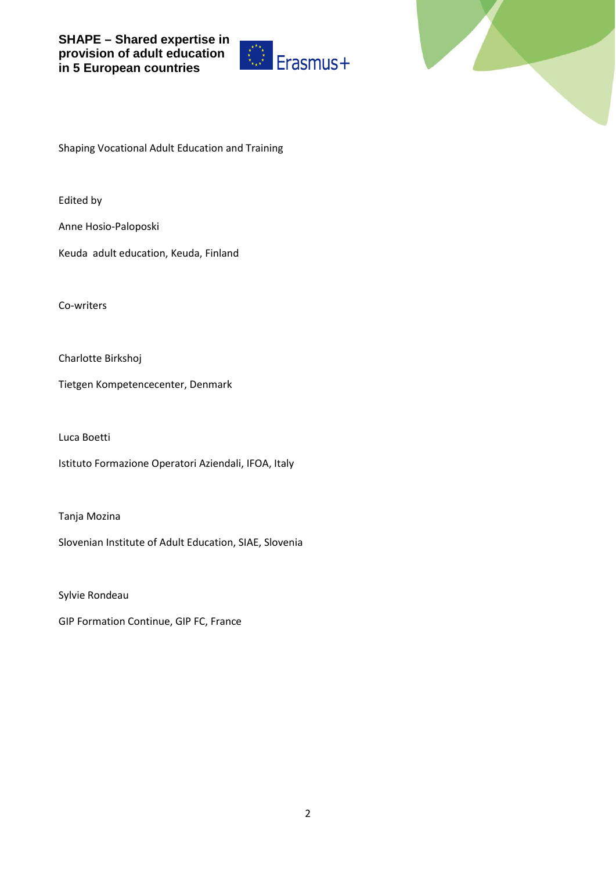



Shaping Vocational Adult Education and Training

Edited by

Anne Hosio-Paloposki

Keuda adult education, Keuda, Finland

Co-writers

Charlotte Birkshoj

Tietgen Kompetencecenter, Denmark

Luca Boetti

Istituto Formazione Operatori Aziendali, IFOA, Italy

Tanja Mozina

Slovenian Institute of Adult Education, SIAE, Slovenia

Sylvie Rondeau

GIP Formation Continue, GIP FC, France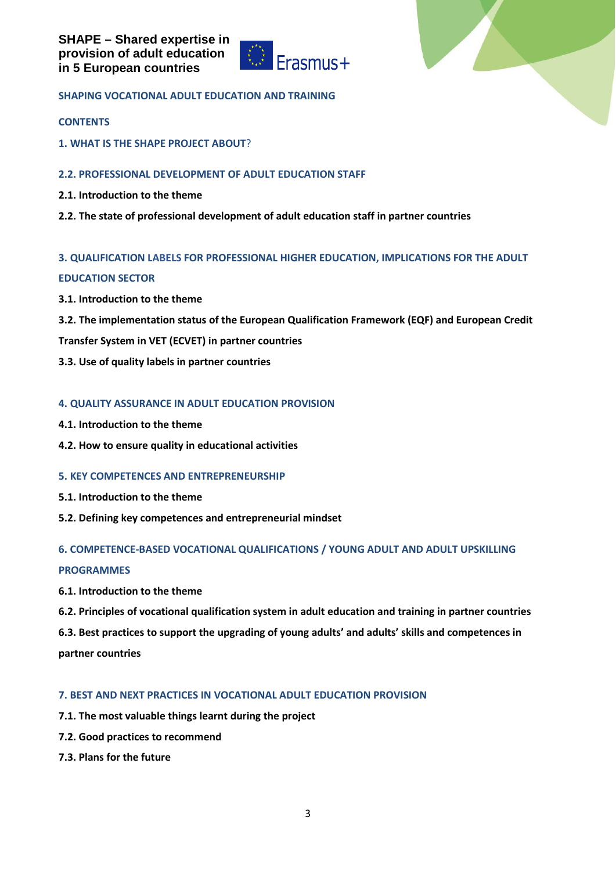



## **SHAPING VOCATIONAL ADULT EDUCATION AND TRAINING**

#### **CONTENTS**

**1. WHAT IS THE SHAPE PROJECT ABOUT**?

## **2.2. PROFESSIONAL DEVELOPMENT OF ADULT EDUCATION STAFF**

- **2.1. Introduction to the theme**
- **2.2. The state of professional development of adult education staff in partner countries**

## **3. QUALIFICATION LABELS FOR PROFESSIONAL HIGHER EDUCATION, IMPLICATIONS FOR THE ADULT**

## **EDUCATION SECTOR**

- **3.1. Introduction to the theme**
- **3.2. The implementation status of the European Qualification Framework (EQF) and European Credit**
- **Transfer System in VET (ECVET) in partner countries**
- **3.3. Use of quality labels in partner countries**

## **4. QUALITY ASSURANCE IN ADULT EDUCATION PROVISION**

- **4.1. Introduction to the theme**
- **4.2. How to ensure quality in educational activities**

## **5. KEY COMPETENCES AND ENTREPRENEURSHIP**

- **5.1. Introduction to the theme**
- **5.2. Defining key competences and entrepreneurial mindset**

## **6. COMPETENCE-BASED VOCATIONAL QUALIFICATIONS / YOUNG ADULT AND ADULT UPSKILLING**

## **PROGRAMMES**

- **6.1. Introduction to the theme**
- **6.2. Principles of vocational qualification system in adult education and training in partner countries**
- **6.3. Best practices to support the upgrading of young adults' and adults' skills and competences in**

**partner countries**

## **7. BEST AND NEXT PRACTICES IN VOCATIONAL ADULT EDUCATION PROVISION**

- **7.1. The most valuable things learnt during the project**
- **7.2. Good practices to recommend**
- **7.3. Plans for the future**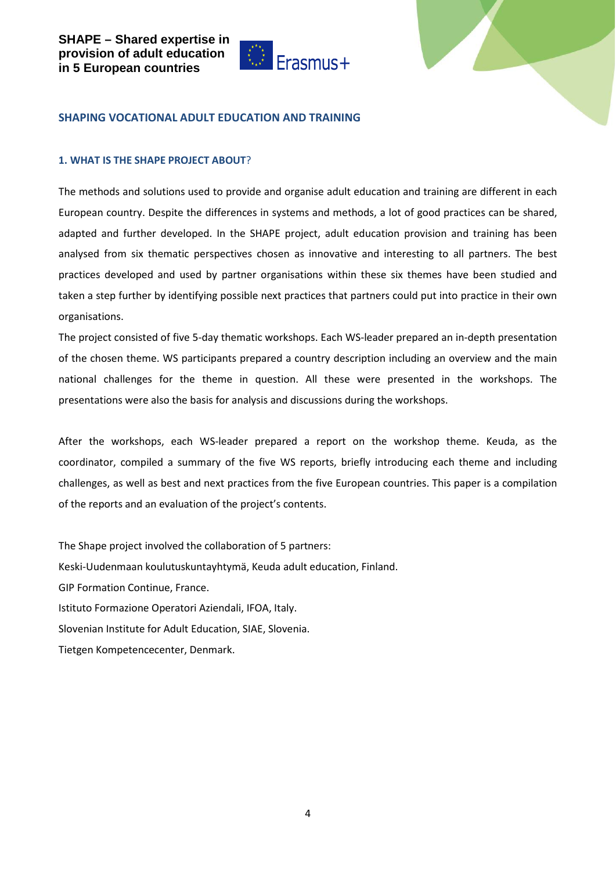



#### **SHAPING VOCATIONAL ADULT EDUCATION AND TRAINING**

#### **1. WHAT IS THE SHAPE PROJECT ABOUT**?

The methods and solutions used to provide and organise adult education and training are different in each European country. Despite the differences in systems and methods, a lot of good practices can be shared, adapted and further developed. In the SHAPE project, adult education provision and training has been analysed from six thematic perspectives chosen as innovative and interesting to all partners. The best practices developed and used by partner organisations within these six themes have been studied and taken a step further by identifying possible next practices that partners could put into practice in their own organisations.

The project consisted of five 5-day thematic workshops. Each WS-leader prepared an in-depth presentation of the chosen theme. WS participants prepared a country description including an overview and the main national challenges for the theme in question. All these were presented in the workshops. The presentations were also the basis for analysis and discussions during the workshops.

After the workshops, each WS-leader prepared a report on the workshop theme. Keuda, as the coordinator, compiled a summary of the five WS reports, briefly introducing each theme and including challenges, as well as best and next practices from the five European countries. This paper is a compilation of the reports and an evaluation of the project's contents.

The Shape project involved the collaboration of 5 partners: Keski-Uudenmaan koulutuskuntayhtymä, Keuda adult education, Finland. GIP Formation Continue, France. Istituto Formazione Operatori Aziendali, IFOA, Italy. Slovenian Institute for Adult Education, SIAE, Slovenia. Tietgen Kompetencecenter, Denmark.

4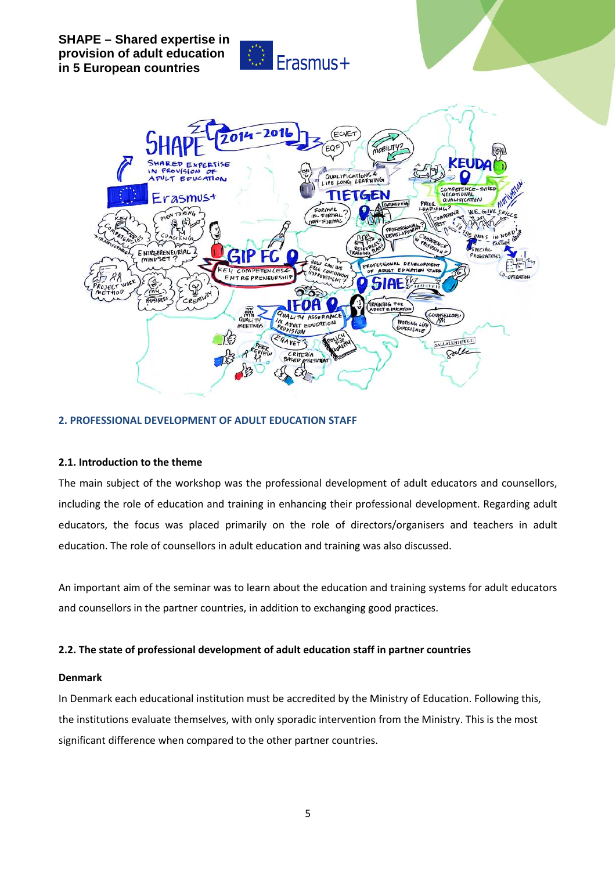





## **2. PROFESSIONAL DEVELOPMENT OF ADULT EDUCATION STAFF**

## **2.1. Introduction to the theme**

The main subject of the workshop was the professional development of adult educators and counsellors, including the role of education and training in enhancing their professional development. Regarding adult educators, the focus was placed primarily on the role of directors/organisers and teachers in adult education. The role of counsellors in adult education and training was also discussed.

An important aim of the seminar was to learn about the education and training systems for adult educators and counsellors in the partner countries, in addition to exchanging good practices.

## **2.2. The state of professional development of adult education staff in partner countries**

#### **Denmark**

In Denmark each educational institution must be accredited by the Ministry of Education. Following this, the institutions evaluate themselves, with only sporadic intervention from the Ministry. This is the most significant difference when compared to the other partner countries.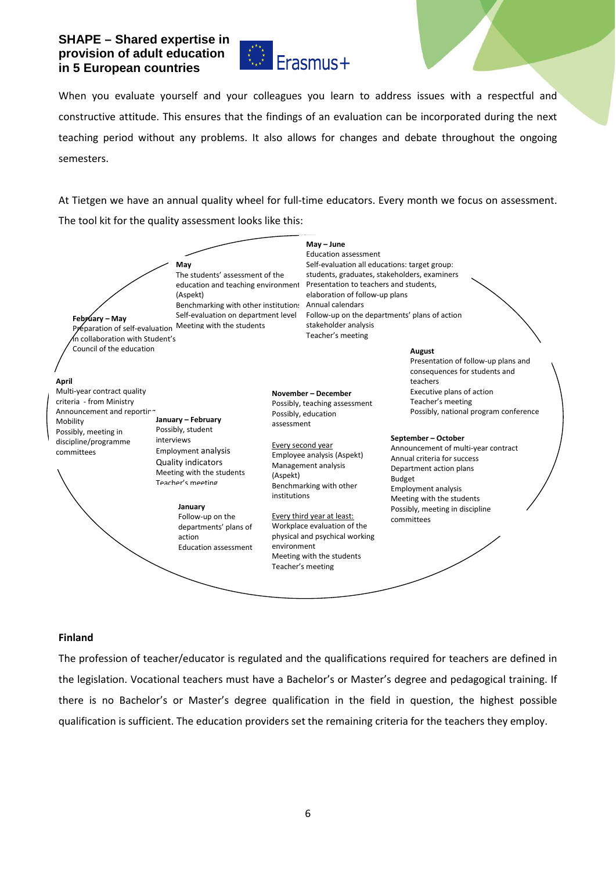

When you evaluate yourself and your colleagues you learn to address issues with a respectful and constructive attitude. This ensures that the findings of an evaluation can be incorporated during the next teaching period without any problems. It also allows for changes and debate throughout the ongoing semesters.

At Tietgen we have an annual quality wheel for full-time educators. Every month we focus on assessment. The tool kit for the quality assessment looks like this:



## **Finland**

The profession of teacher/educator is regulated and the qualifications required for teachers are defined in the legislation. Vocational teachers must have a Bachelor's or Master's degree and pedagogical training. If there is no Bachelor's or Master's degree qualification in the field in question, the highest possible qualification is sufficient. The education providers set the remaining criteria for the teachers they employ.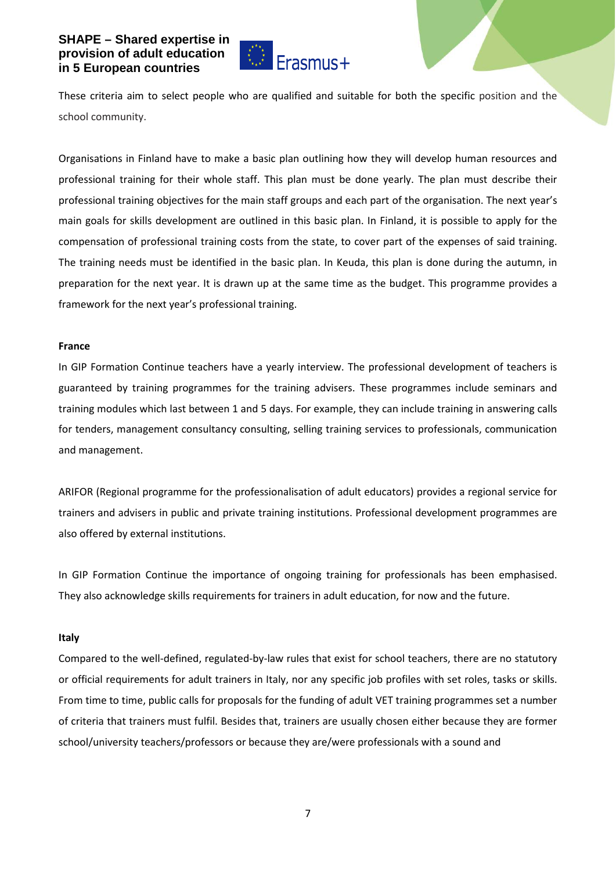

These criteria aim to select people who are qualified and suitable for both the specific position and the school community.

Organisations in Finland have to make a basic plan outlining how they will develop human resources and professional training for their whole staff. This plan must be done yearly. The plan must describe their professional training objectives for the main staff groups and each part of the organisation. The next year's main goals for skills development are outlined in this basic plan. In Finland, it is possible to apply for the compensation of professional training costs from the state, to cover part of the expenses of said training. The training needs must be identified in the basic plan. In Keuda, this plan is done during the autumn, in preparation for the next year. It is drawn up at the same time as the budget. This programme provides a framework for the next year's professional training.

#### **France**

In GIP Formation Continue teachers have a yearly interview. The professional development of teachers is guaranteed by training programmes for the training advisers. These programmes include seminars and training modules which last between 1 and 5 days. For example, they can include training in answering calls for tenders, management consultancy consulting, selling training services to professionals, communication and management.

ARIFOR (Regional programme for the professionalisation of adult educators) provides a regional service for trainers and advisers in public and private training institutions. Professional development programmes are also offered by external institutions.

In GIP Formation Continue the importance of ongoing training for professionals has been emphasised. They also acknowledge skills requirements for trainers in adult education, for now and the future.

#### **Italy**

Compared to the well-defined, regulated-by-law rules that exist for school teachers, there are no statutory or official requirements for adult trainers in Italy, nor any specific job profiles with set roles, tasks or skills. From time to time, public calls for proposals for the funding of adult VET training programmes set a number of criteria that trainers must fulfil. Besides that, trainers are usually chosen either because they are former school/university teachers/professors or because they are/were professionals with a sound and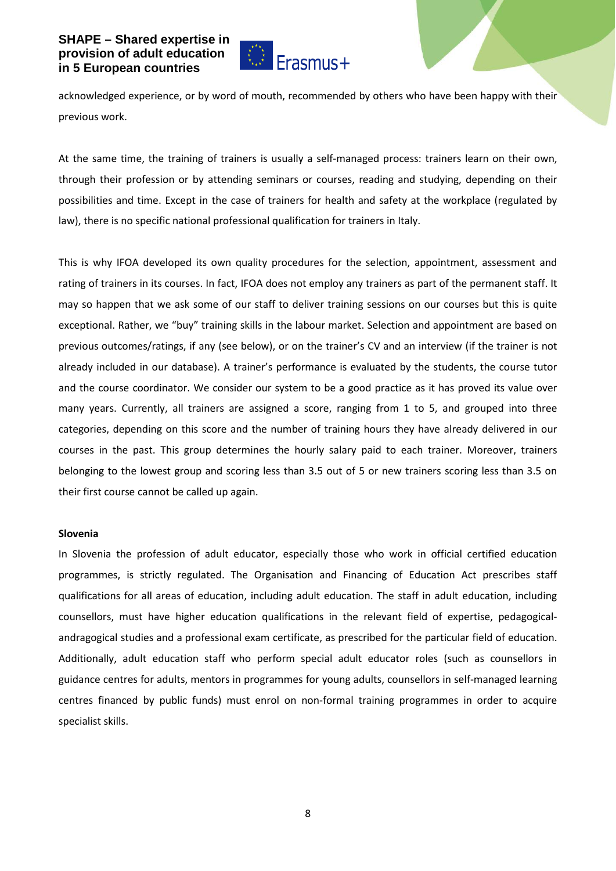

acknowledged experience, or by word of mouth, recommended by others who have been happy with their previous work.

At the same time, the training of trainers is usually a self-managed process: trainers learn on their own, through their profession or by attending seminars or courses, reading and studying, depending on their possibilities and time. Except in the case of trainers for health and safety at the workplace (regulated by law), there is no specific national professional qualification for trainers in Italy.

This is why IFOA developed its own quality procedures for the selection, appointment, assessment and rating of trainers in its courses. In fact, IFOA does not employ any trainers as part of the permanent staff. It may so happen that we ask some of our staff to deliver training sessions on our courses but this is quite exceptional. Rather, we "buy" training skills in the labour market. Selection and appointment are based on previous outcomes/ratings, if any (see below), or on the trainer's CV and an interview (if the trainer is not already included in our database). A trainer's performance is evaluated by the students, the course tutor and the course coordinator. We consider our system to be a good practice as it has proved its value over many years. Currently, all trainers are assigned a score, ranging from 1 to 5, and grouped into three categories, depending on this score and the number of training hours they have already delivered in our courses in the past. This group determines the hourly salary paid to each trainer. Moreover, trainers belonging to the lowest group and scoring less than 3.5 out of 5 or new trainers scoring less than 3.5 on their first course cannot be called up again.

#### **Slovenia**

In Slovenia the profession of adult educator, especially those who work in official certified education programmes, is strictly regulated. The Organisation and Financing of Education Act prescribes staff qualifications for all areas of education, including adult education. The staff in adult education, including counsellors, must have higher education qualifications in the relevant field of expertise, pedagogicalandragogical studies and a professional exam certificate, as prescribed for the particular field of education. Additionally, adult education staff who perform special adult educator roles (such as counsellors in guidance centres for adults, mentors in programmes for young adults, counsellors in self-managed learning centres financed by public funds) must enrol on non-formal training programmes in order to acquire specialist skills.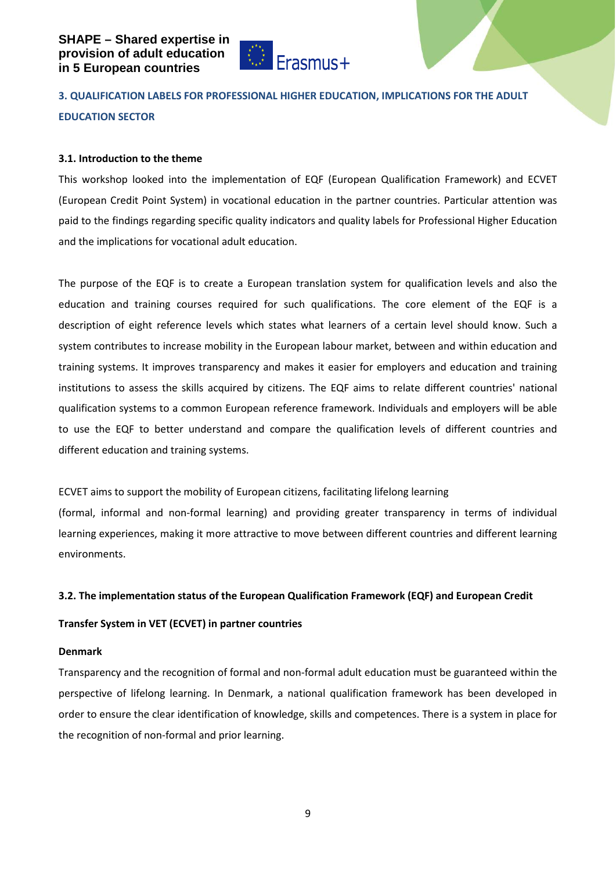

## **3. QUALIFICATION LABELS FOR PROFESSIONAL HIGHER EDUCATION, IMPLICATIONS FOR THE ADULT EDUCATION SECTOR**

## **3.1. Introduction to the theme**

This workshop looked into the implementation of EQF (European Qualification Framework) and ECVET (European Credit Point System) in vocational education in the partner countries. Particular attention was paid to the findings regarding specific quality indicators and quality labels for Professional Higher Education and the implications for vocational adult education.

The purpose of the EQF is to create a European translation system for qualification levels and also the education and training courses required for such qualifications. The core element of the EQF is a description of eight reference levels which states what learners of a certain level should know. Such a system contributes to increase mobility in the European labour market, between and within education and training systems. It improves transparency and makes it easier for employers and education and training institutions to assess the skills acquired by citizens. The EQF aims to relate different countries' national qualification systems to a common European reference framework. Individuals and employers will be able to use the EQF to better understand and compare the qualification levels of different countries and different education and training systems.

ECVET aims to support the mobility of European citizens, facilitating lifelong learning

(formal, informal and non-formal learning) and providing greater transparency in terms of individual learning experiences, making it more attractive to move between different countries and different learning environments.

## **3.2. The implementation status of the European Qualification Framework (EQF) and European Credit**

## **Transfer System in VET (ECVET) in partner countries**

## **Denmark**

Transparency and the recognition of formal and non-formal adult education must be guaranteed within the perspective of lifelong learning. In Denmark, a national qualification framework has been developed in order to ensure the clear identification of knowledge, skills and competences. There is a system in place for the recognition of non-formal and prior learning.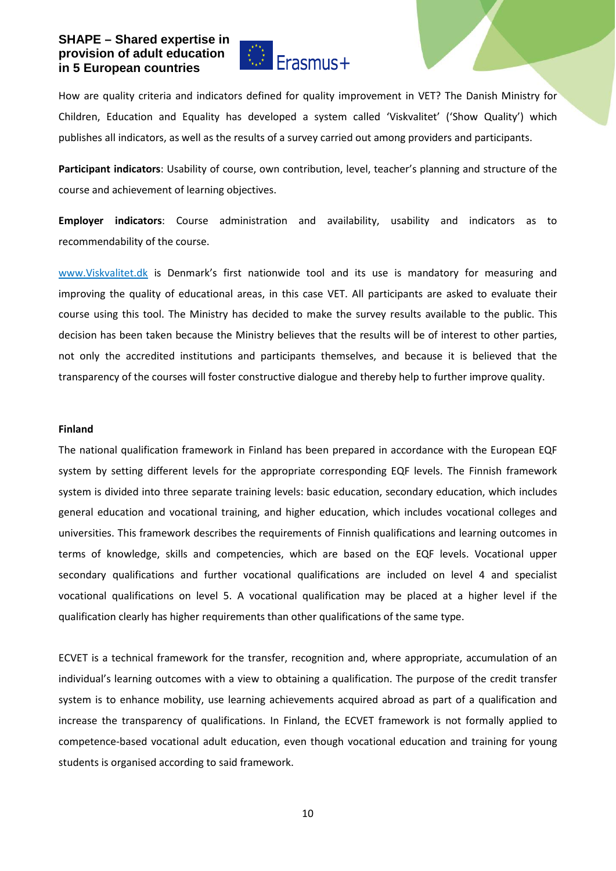

How are quality criteria and indicators defined for quality improvement in VET? The Danish Ministry for Children, Education and Equality has developed a system called 'Viskvalitet' ('Show Quality') which publishes all indicators, as well as the results of a survey carried out among providers and participants.

**Participant indicators**: Usability of course, own contribution, level, teacher's planning and structure of the course and achievement of learning objectives.

**Employer indicators**: Course administration and availability, usability and indicators as to recommendability of the course.

[www.Viskvalitet.dk](http://www.viskvalitet.dk/) is Denmark's first nationwide tool and its use is mandatory for measuring and improving the quality of educational areas, in this case VET. All participants are asked to evaluate their course using this tool. The Ministry has decided to make the survey results available to the public. This decision has been taken because the Ministry believes that the results will be of interest to other parties, not only the accredited institutions and participants themselves, and because it is believed that the transparency of the courses will foster constructive dialogue and thereby help to further improve quality.

#### **Finland**

The national qualification framework in Finland has been prepared in accordance with the European EQF system by setting different levels for the appropriate corresponding EQF levels. The Finnish framework system is divided into three separate training levels: basic education, secondary education, which includes general education and vocational training, and higher education, which includes vocational colleges and universities. This framework describes the requirements of Finnish qualifications and learning outcomes in terms of knowledge, skills and competencies, which are based on the EQF levels. Vocational upper secondary qualifications and further vocational qualifications are included on level 4 and specialist vocational qualifications on level 5. A vocational qualification may be placed at a higher level if the qualification clearly has higher requirements than other qualifications of the same type.

ECVET is a technical framework for the transfer, recognition and, where appropriate, accumulation of an individual's learning outcomes with a view to obtaining a qualification. The purpose of the credit transfer system is to enhance mobility, use learning achievements acquired abroad as part of a qualification and increase the transparency of qualifications. In Finland, the ECVET framework is not formally applied to competence-based vocational adult education, even though vocational education and training for young students is organised according to said framework.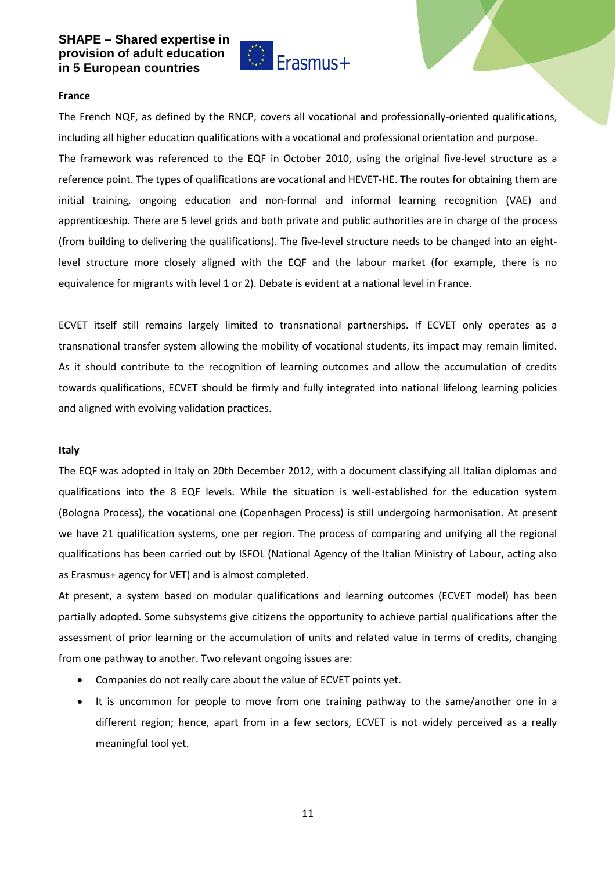

#### **France**

The French NQF, as defined by the RNCP, covers all vocational and professionally-oriented qualifications, including all higher education qualifications with a vocational and professional orientation and purpose. The framework was referenced to the EQF in October 2010, using the original five-level structure as a reference point. The types of qualifications are vocational and HEVET-HE. The routes for obtaining them are initial training, ongoing education and non-formal and informal learning recognition (VAE) and apprenticeship. There are 5 level grids and both private and public authorities are in charge of the process (from building to delivering the qualifications). The five-level structure needs to be changed into an eightlevel structure more closely aligned with the EQF and the labour market (for example, there is no equivalence for migrants with level 1 or 2). Debate is evident at a national level in France.

ECVET itself still remains largely limited to transnational partnerships. If ECVET only operates as a transnational transfer system allowing the mobility of vocational students, its impact may remain limited. As it should contribute to the recognition of learning outcomes and allow the accumulation of credits towards qualifications, ECVET should be firmly and fully integrated into national lifelong learning policies and aligned with evolving validation practices.

#### **Italy**

The EQF was adopted in Italy on 20th December 2012, with a document classifying all Italian diplomas and qualifications into the 8 EQF levels. While the situation is well-established for the education system (Bologna Process), the vocational one (Copenhagen Process) is still undergoing harmonisation. At present we have 21 qualification systems, one per region. The process of comparing and unifying all the regional qualifications has been carried out by ISFOL (National Agency of the Italian Ministry of Labour, acting also as Erasmus+ agency for VET) and is almost completed.

At present, a system based on modular qualifications and learning outcomes (ECVET model) has been partially adopted. Some subsystems give citizens the opportunity to achieve partial qualifications after the assessment of prior learning or the accumulation of units and related value in terms of credits, changing from one pathway to another. Two relevant ongoing issues are:

- Companies do not really care about the value of ECVET points yet.
- It is uncommon for people to move from one training pathway to the same/another one in a different region; hence, apart from in a few sectors, ECVET is not widely perceived as a really meaningful tool yet.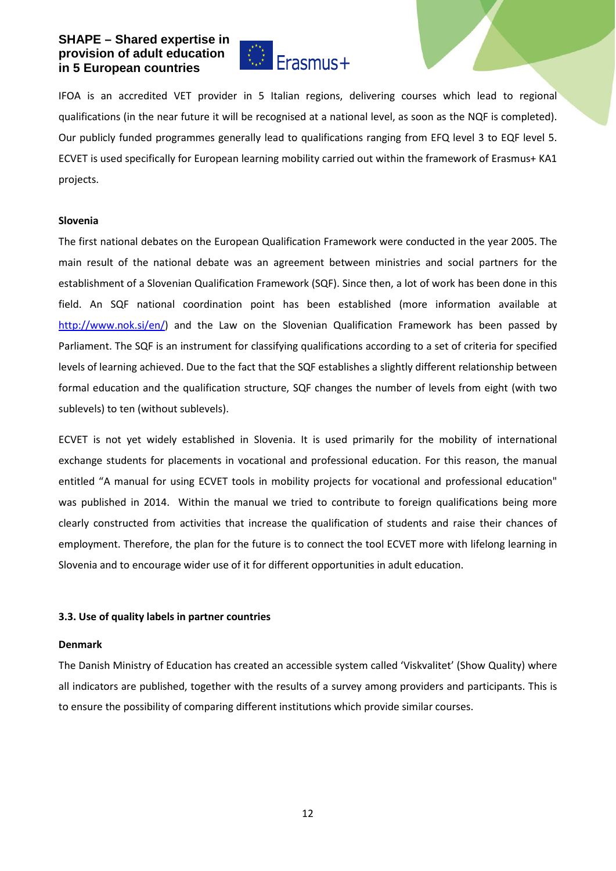

IFOA is an accredited VET provider in 5 Italian regions, delivering courses which lead to regional qualifications (in the near future it will be recognised at a national level, as soon as the NQF is completed). Our publicly funded programmes generally lead to qualifications ranging from EFQ level 3 to EQF level 5. ECVET is used specifically for European learning mobility carried out within the framework of Erasmus+ KA1 projects.

#### **Slovenia**

The first national debates on the European Qualification Framework were conducted in the year 2005. The main result of the national debate was an agreement between ministries and social partners for the establishment of a Slovenian Qualification Framework (SQF). Since then, a lot of work has been done in this field. An SQF national coordination point has been established (more information available at [http://www.nok.si/en/\)](http://www.nok.si/en/) and the Law on the Slovenian Qualification Framework has been passed by Parliament. The SQF is an instrument for classifying qualifications according to a set of criteria for specified levels of learning achieved. Due to the fact that the SQF establishes a slightly different relationship between formal education and the qualification structure, SQF changes the number of levels from eight (with two sublevels) to ten (without sublevels).

ECVET is not yet widely established in Slovenia. It is used primarily for the mobility of international exchange students for placements in vocational and professional education. For this reason, the manual entitled "A manual for using ECVET tools in mobility projects for vocational and professional education" was published in 2014. Within the manual we tried to contribute to foreign qualifications being more clearly constructed from activities that increase the qualification of students and raise their chances of employment. Therefore, the plan for the future is to connect the tool ECVET more with lifelong learning in Slovenia and to encourage wider use of it for different opportunities in adult education.

## **3.3. Use of quality labels in partner countries**

#### **Denmark**

The Danish Ministry of Education has created an accessible system called 'Viskvalitet' (Show Quality) where all indicators are published, together with the results of a survey among providers and participants. This is to ensure the possibility of comparing different institutions which provide similar courses.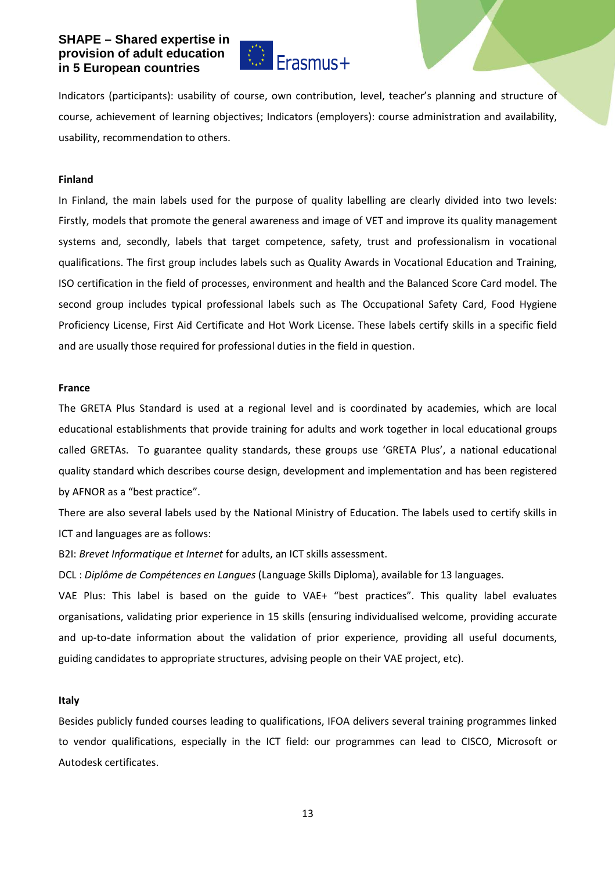

Indicators (participants): usability of course, own contribution, level, teacher's planning and structure of course, achievement of learning objectives; Indicators (employers): course administration and availability, usability, recommendation to others.

#### **Finland**

In Finland, the main labels used for the purpose of quality labelling are clearly divided into two levels: Firstly, models that promote the general awareness and image of VET and improve its quality management systems and, secondly, labels that target competence, safety, trust and professionalism in vocational qualifications. The first group includes labels such as Quality Awards in Vocational Education and Training, ISO certification in the field of processes, environment and health and the Balanced Score Card model. The second group includes typical professional labels such as The Occupational Safety Card, Food Hygiene Proficiency License, First Aid Certificate and Hot Work License. These labels certify skills in a specific field and are usually those required for professional duties in the field in question.

#### **France**

The GRETA Plus Standard is used at a regional level and is coordinated by academies, which are local educational establishments that provide training for adults and work together in local educational groups called GRETAs. To guarantee quality standards, these groups use 'GRETA Plus', a national educational quality standard which describes course design, development and implementation and has been registered by AFNOR as a "best practice".

There are also several labels used by the National Ministry of Education. The labels used to certify skills in ICT and languages are as follows:

B2I: *Brevet Informatique et Internet* for adults, an ICT skills assessment.

DCL : *Diplôme de Compétences en Langues* (Language Skills Diploma), available for 13 languages.

VAE Plus: This label is based on the guide to VAE+ "best practices". This quality label evaluates organisations, validating prior experience in 15 skills (ensuring individualised welcome, providing accurate and up-to-date information about the validation of prior experience, providing all useful documents, guiding candidates to appropriate structures, advising people on their VAE project, etc).

#### **Italy**

Besides publicly funded courses leading to qualifications, IFOA delivers several training programmes linked to vendor qualifications, especially in the ICT field: our programmes can lead to CISCO, Microsoft or Autodesk certificates.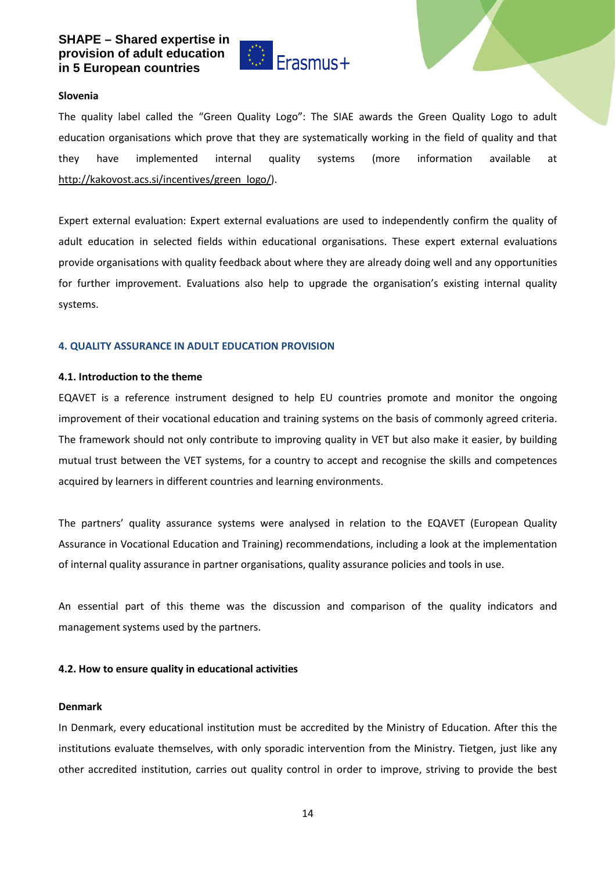

#### **Slovenia**

The quality label called the "Green Quality Logo": The SIAE awards the Green Quality Logo to adult education organisations which prove that they are systematically working in the field of quality and that they have implemented internal quality systems (more information available at [http://kakovost.acs.si/incentives/green\\_logo/\)](http://kakovost.acs.si/incentives/green_logo/).

Expert external evaluation: Expert external evaluations are used to independently confirm the quality of adult education in selected fields within educational organisations. These expert external evaluations provide organisations with quality feedback about where they are already doing well and any opportunities for further improvement. Evaluations also help to upgrade the organisation's existing internal quality systems.

#### **4. QUALITY ASSURANCE IN ADULT EDUCATION PROVISION**

#### **4.1. Introduction to the theme**

EQAVET is a reference instrument designed to help EU countries promote and monitor the ongoing improvement of their vocational education and training systems on the basis of commonly agreed criteria. The framework should not only contribute to improving quality in VET but also make it easier, by building mutual trust between the VET systems, for a country to accept and recognise the skills and competences acquired by learners in different countries and learning environments.

The partners' quality assurance systems were analysed in relation to the EQAVET (European Quality Assurance in Vocational Education and Training) recommendations, including a look at the implementation of internal quality assurance in partner organisations, quality assurance policies and tools in use.

An essential part of this theme was the discussion and comparison of the quality indicators and management systems used by the partners.

#### **4.2. How to ensure quality in educational activities**

#### **Denmark**

In Denmark, every educational institution must be accredited by the Ministry of Education. After this the institutions evaluate themselves, with only sporadic intervention from the Ministry. Tietgen, just like any other accredited institution, carries out quality control in order to improve, striving to provide the best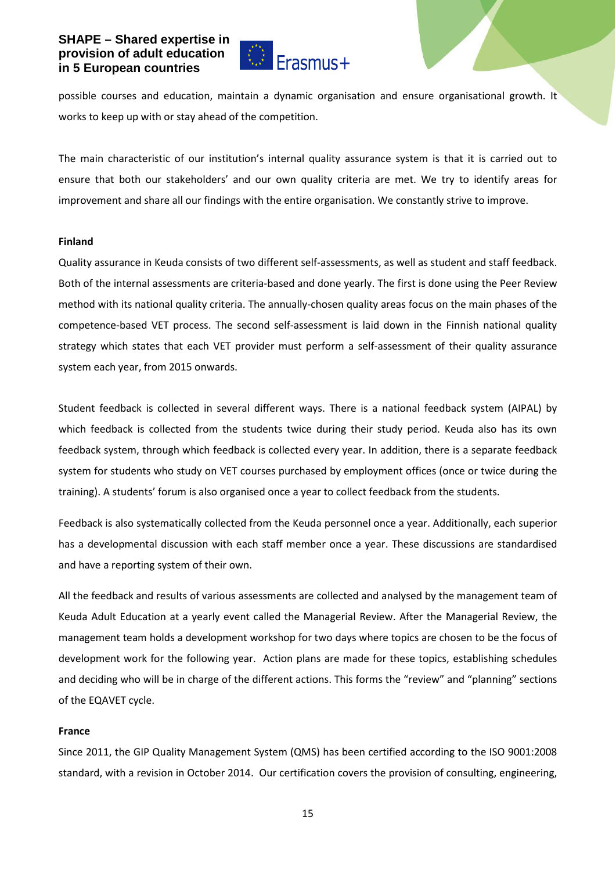

possible courses and education, maintain a dynamic organisation and ensure organisational growth. It works to keep up with or stay ahead of the competition.

The main characteristic of our institution's internal quality assurance system is that it is carried out to ensure that both our stakeholders' and our own quality criteria are met. We try to identify areas for improvement and share all our findings with the entire organisation. We constantly strive to improve.

#### **Finland**

Quality assurance in Keuda consists of two different self-assessments, as well as student and staff feedback. Both of the internal assessments are criteria-based and done yearly. The first is done using the Peer Review method with its national quality criteria. The annually-chosen quality areas focus on the main phases of the competence-based VET process. The second self-assessment is laid down in the Finnish national quality strategy which states that each VET provider must perform a self-assessment of their quality assurance system each year, from 2015 onwards.

Student feedback is collected in several different ways. There is a national feedback system (AIPAL) by which feedback is collected from the students twice during their study period. Keuda also has its own feedback system, through which feedback is collected every year. In addition, there is a separate feedback system for students who study on VET courses purchased by employment offices (once or twice during the training). A students' forum is also organised once a year to collect feedback from the students.

Feedback is also systematically collected from the Keuda personnel once a year. Additionally, each superior has a developmental discussion with each staff member once a year. These discussions are standardised and have a reporting system of their own.

All the feedback and results of various assessments are collected and analysed by the management team of Keuda Adult Education at a yearly event called the Managerial Review. After the Managerial Review, the management team holds a development workshop for two days where topics are chosen to be the focus of development work for the following year. Action plans are made for these topics, establishing schedules and deciding who will be in charge of the different actions. This forms the "review" and "planning" sections of the EQAVET cycle.

#### **France**

Since 2011, the GIP Quality Management System (QMS) has been certified according to the ISO 9001:2008 standard, with a revision in October 2014. Our certification covers the provision of consulting, engineering,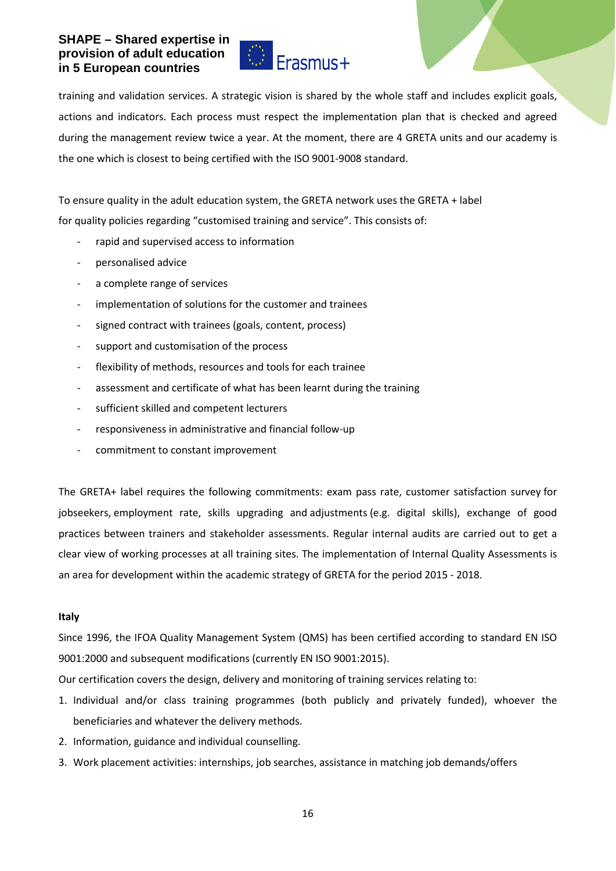

training and validation services. A strategic vision is shared by the whole staff and includes explicit goals, actions and indicators. Each process must respect the implementation plan that is checked and agreed during the management review twice a year. At the moment, there are 4 GRETA units and our academy is the one which is closest to being certified with the ISO 9001-9008 standard.

To ensure quality in the adult education system, the GRETA network uses the GRETA + label for quality policies regarding "customised training and service". This consists of:

- rapid and supervised access to information
- personalised advice
- a complete range of services
- implementation of solutions for the customer and trainees
- signed contract with trainees (goals, content, process)
- support and customisation of the process
- flexibility of methods, resources and tools for each trainee
- assessment and certificate of what has been learnt during the training
- sufficient skilled and competent lecturers
- responsiveness in administrative and financial follow-up
- commitment to constant improvement

The GRETA+ label requires the following commitments: exam pass rate, customer satisfaction survey for jobseekers, employment rate, skills upgrading and adjustments (e.g. digital skills), exchange of good practices between trainers and stakeholder assessments. Regular internal audits are carried out to get a clear view of working processes at all training sites. The implementation of Internal Quality Assessments is an area for development within the academic strategy of GRETA for the period 2015 - 2018.

## **Italy**

Since 1996, the IFOA Quality Management System (QMS) has been certified according to standard EN ISO 9001:2000 and subsequent modifications (currently EN ISO 9001:2015).

Our certification covers the design, delivery and monitoring of training services relating to:

- 1. Individual and/or class training programmes (both publicly and privately funded), whoever the beneficiaries and whatever the delivery methods.
- 2. Information, guidance and individual counselling.
- 3. Work placement activities: internships, job searches, assistance in matching job demands/offers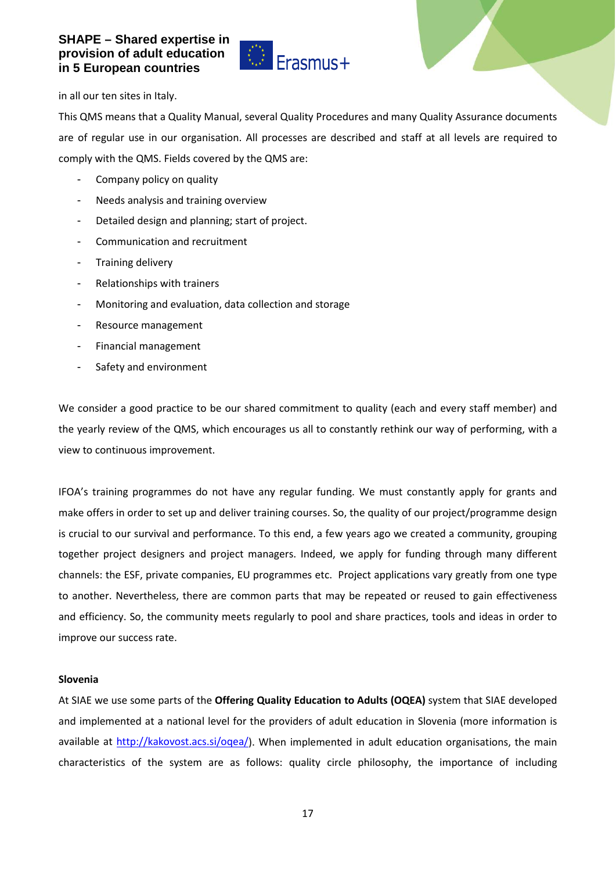

in all our ten sites in Italy.

This QMS means that a Quality Manual, several Quality Procedures and many Quality Assurance documents are of regular use in our organisation. All processes are described and staff at all levels are required to comply with the QMS. Fields covered by the QMS are:

- Company policy on quality
- Needs analysis and training overview
- Detailed design and planning; start of project.
- Communication and recruitment
- Training delivery
- Relationships with trainers
- Monitoring and evaluation, data collection and storage
- Resource management
- Financial management
- Safety and environment

We consider a good practice to be our shared commitment to quality (each and every staff member) and the yearly review of the QMS, which encourages us all to constantly rethink our way of performing, with a view to continuous improvement.

IFOA's training programmes do not have any regular funding. We must constantly apply for grants and make offers in order to set up and deliver training courses. So, the quality of our project/programme design is crucial to our survival and performance. To this end, a few years ago we created a community, grouping together project designers and project managers. Indeed, we apply for funding through many different channels: the ESF, private companies, EU programmes etc. Project applications vary greatly from one type to another. Nevertheless, there are common parts that may be repeated or reused to gain effectiveness and efficiency. So, the community meets regularly to pool and share practices, tools and ideas in order to improve our success rate.

#### **Slovenia**

At SIAE we use some parts of the **Offering Quality Education to Adults (OQEA)** system that SIAE developed and implemented at a national level for the providers of adult education in Slovenia (more information is available at [http://kakovost.acs.si/oqea/\)](http://kakovost.acs.si/oqea/). When implemented in adult education organisations, the main characteristics of the system are as follows: quality circle philosophy, the importance of including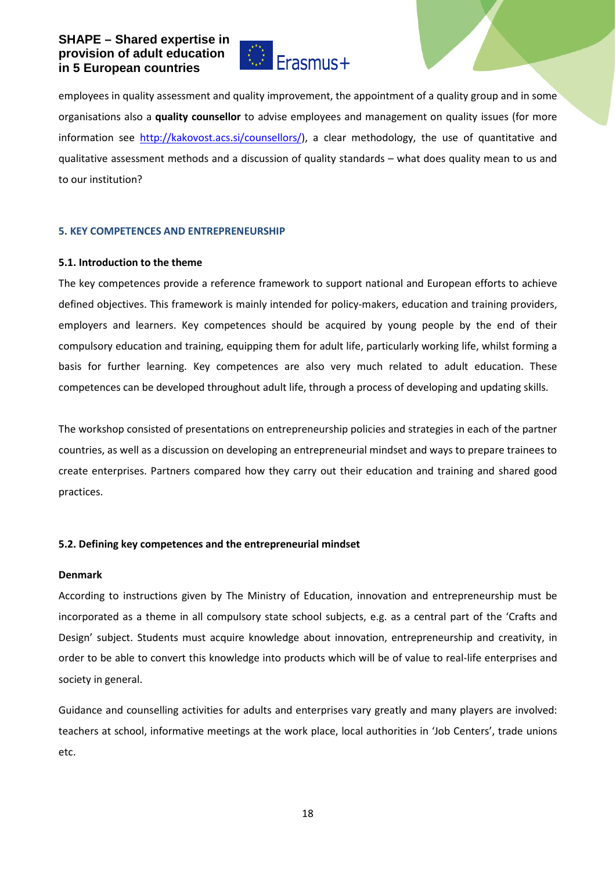

employees in quality assessment and quality improvement, the appointment of a quality group and in some organisations also a **quality counsellor** to advise employees and management on quality issues (for more information see [http://kakovost.acs.si/counsellors/\)](http://kakovost.acs.si/counsellors/), a clear methodology, the use of quantitative and qualitative assessment methods and a discussion of quality standards – what does quality mean to us and to our institution?

#### **5. KEY COMPETENCES AND ENTREPRENEURSHIP**

#### **5.1. Introduction to the theme**

The key competences provide a reference framework to support national and European efforts to achieve defined objectives. This framework is mainly intended for policy-makers, education and training providers, employers and learners. Key competences should be acquired by young people by the end of their compulsory education and training, equipping them for adult life, particularly working life, whilst forming a basis for further learning. Key competences are also very much related to adult education. These competences can be developed throughout adult life, through a process of developing and updating skills.

The workshop consisted of presentations on entrepreneurship policies and strategies in each of the partner countries, as well as a discussion on developing an entrepreneurial mindset and ways to prepare trainees to create enterprises. Partners compared how they carry out their education and training and shared good practices.

## **5.2. Defining key competences and the entrepreneurial mindset**

#### **Denmark**

According to instructions given by The Ministry of Education, innovation and entrepreneurship must be incorporated as a theme in all compulsory state school subjects, e.g. as a central part of the 'Crafts and Design' subject. Students must acquire knowledge about innovation, entrepreneurship and creativity, in order to be able to convert this knowledge into products which will be of value to real-life enterprises and society in general.

Guidance and counselling activities for adults and enterprises vary greatly and many players are involved: teachers at school, informative meetings at the work place, local authorities in 'Job Centers', trade unions etc.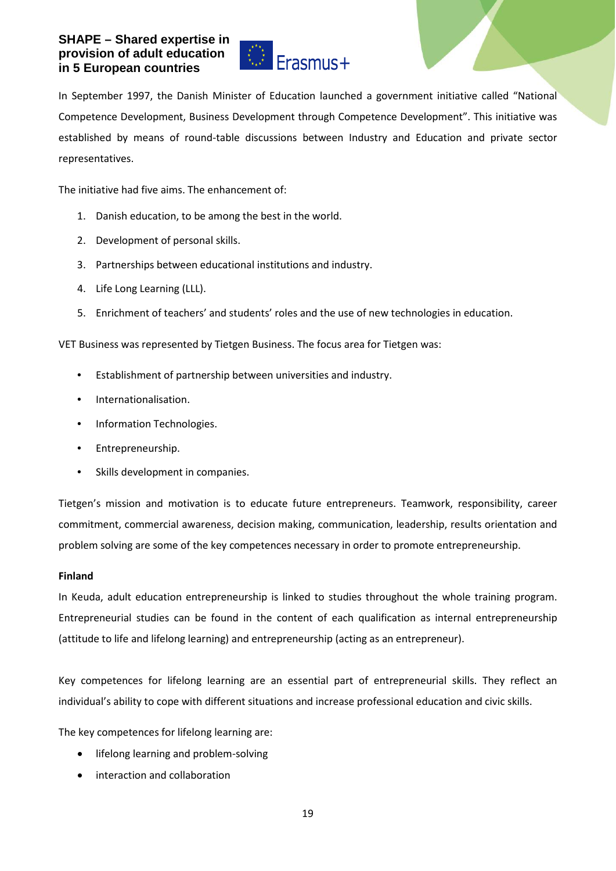

In September 1997, the Danish Minister of Education launched a government initiative called "National Competence Development, Business Development through Competence Development". This initiative was established by means of round-table discussions between Industry and Education and private sector representatives.

The initiative had five aims. The enhancement of:

- 1. Danish education, to be among the best in the world.
- 2. Development of personal skills.
- 3. Partnerships between educational institutions and industry.
- 4. Life Long Learning (LLL).
- 5. Enrichment of teachers' and students' roles and the use of new technologies in education.

VET Business was represented by Tietgen Business. The focus area for Tietgen was:

- Establishment of partnership between universities and industry.
- Internationalisation.
- Information Technologies.
- Entrepreneurship.
- Skills development in companies.

Tietgen's mission and motivation is to educate future entrepreneurs. Teamwork, responsibility, career commitment, commercial awareness, decision making, communication, leadership, results orientation and problem solving are some of the key competences necessary in order to promote entrepreneurship.

## **Finland**

In Keuda, adult education entrepreneurship is linked to studies throughout the whole training program. Entrepreneurial studies can be found in the content of each qualification as internal entrepreneurship (attitude to life and lifelong learning) and entrepreneurship (acting as an entrepreneur).

Key competences for lifelong learning are an essential part of entrepreneurial skills. They reflect an individual's ability to cope with different situations and increase professional education and civic skills.

The key competences for lifelong learning are:

- lifelong learning and problem-solving
- interaction and collaboration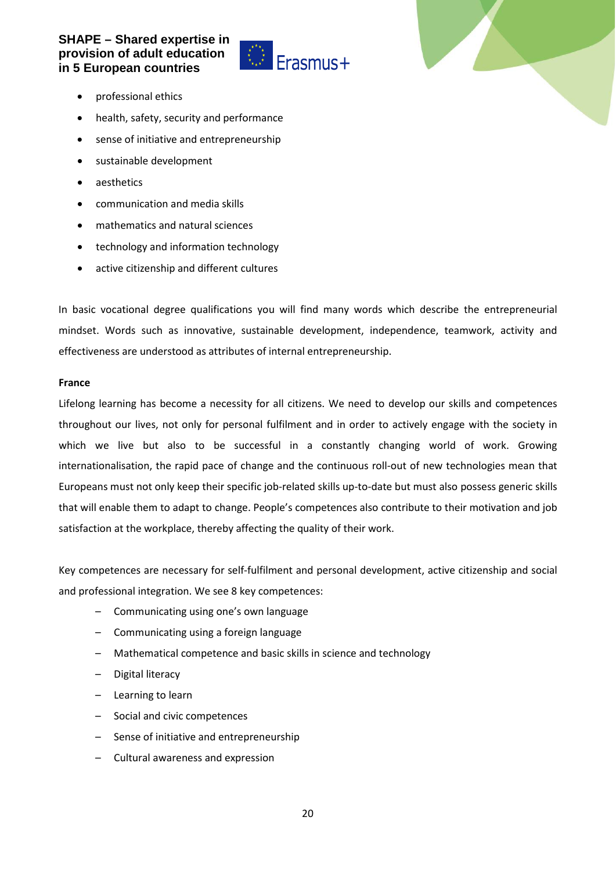

- professional ethics
- health, safety, security and performance
- sense of initiative and entrepreneurship
- sustainable development
- aesthetics
- communication and media skills
- mathematics and natural sciences
- technology and information technology
- active citizenship and different cultures

In basic vocational degree qualifications you will find many words which describe the entrepreneurial mindset. Words such as innovative, sustainable development, independence, teamwork, activity and effectiveness are understood as attributes of internal entrepreneurship.

#### **France**

Lifelong learning has become a necessity for all citizens. We need to develop our skills and competences throughout our lives, not only for personal fulfilment and in order to actively engage with the society in which we live but also to be successful in a constantly changing world of work. Growing internationalisation, the rapid pace of change and the continuous roll-out of new technologies mean that Europeans must not only keep their specific job-related skills up-to-date but must also possess generic skills that will enable them to adapt to change. People's competences also contribute to their motivation and job satisfaction at the workplace, thereby affecting the quality of their work.

Key competences are necessary for self-fulfilment and personal development, active citizenship and social and professional integration. We see 8 key competences:

- Communicating using one's own language
- Communicating using a foreign language
- Mathematical competence and basic skills in science and technology
- Digital literacy
- Learning to learn
- Social and civic competences
- Sense of initiative and entrepreneurship
- Cultural awareness and expression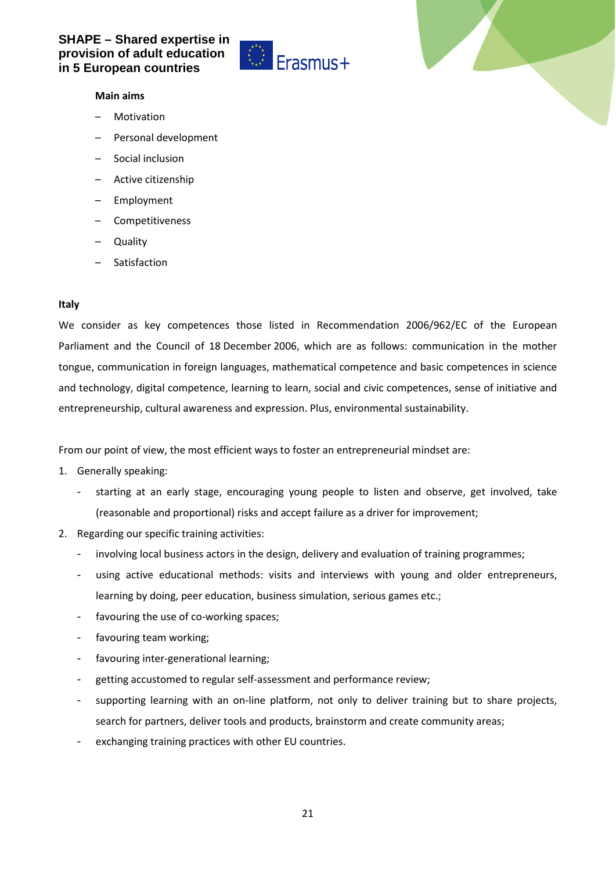

#### **Main aims**

- **Motivation**
- Personal development
- Social inclusion
- Active citizenship
- Employment
- Competitiveness
- Quality
- **Satisfaction**

#### **Italy**

We consider as key competences those listed in Recommendation 2006/962/EC of the European Parliament and the Council of 18 December 2006, which are as follows: communication in the mother tongue, communication in foreign languages, mathematical competence and basic competences in science and technology, digital competence, learning to learn, social and civic competences, sense of initiative and entrepreneurship, cultural awareness and expression. Plus, environmental sustainability.

From our point of view, the most efficient ways to foster an entrepreneurial mindset are:

- 1. Generally speaking:
	- starting at an early stage, encouraging young people to listen and observe, get involved, take (reasonable and proportional) risks and accept failure as a driver for improvement;
- 2. Regarding our specific training activities:
	- involving local business actors in the design, delivery and evaluation of training programmes;
	- using active educational methods: visits and interviews with young and older entrepreneurs, learning by doing, peer education, business simulation, serious games etc.;
	- favouring the use of co-working spaces;
	- favouring team working;
	- favouring inter-generational learning;
	- getting accustomed to regular self-assessment and performance review;
	- supporting learning with an on-line platform, not only to deliver training but to share projects, search for partners, deliver tools and products, brainstorm and create community areas;
	- exchanging training practices with other EU countries.

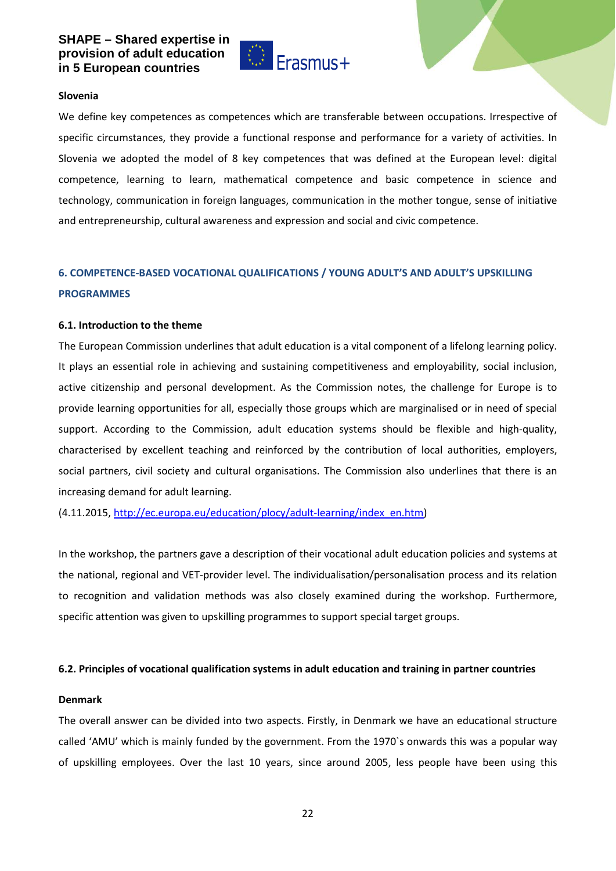

#### **Slovenia**

We define key competences as competences which are transferable between occupations. Irrespective of specific circumstances, they provide a functional response and performance for a variety of activities. In Slovenia we adopted the model of 8 key competences that was defined at the European level: digital competence, learning to learn, mathematical competence and basic competence in science and technology, communication in foreign languages, communication in the mother tongue, sense of initiative and entrepreneurship, cultural awareness and expression and social and civic competence.

## **6. COMPETENCE-BASED VOCATIONAL QUALIFICATIONS / YOUNG ADULT'S AND ADULT'S UPSKILLING PROGRAMMES**

#### **6.1. Introduction to the theme**

The European Commission underlines that adult education is a vital component of a lifelong learning policy. It plays an essential role in achieving and sustaining competitiveness and employability, social inclusion, active citizenship and personal development. As the Commission notes, the challenge for Europe is to provide learning opportunities for all, especially those groups which are marginalised or in need of special support. According to the Commission, adult education systems should be flexible and high-quality, characterised by excellent teaching and reinforced by the contribution of local authorities, employers, social partners, civil society and cultural organisations. The Commission also underlines that there is an increasing demand for adult learning.

(4.11.2015, [http://ec.europa.eu/education/plocy/adult-learning/index\\_en.htm\)](http://ec.europa.eu/education/plocy/adult-learning/index_en.htm)

In the workshop, the partners gave a description of their vocational adult education policies and systems at the national, regional and VET-provider level. The individualisation/personalisation process and its relation to recognition and validation methods was also closely examined during the workshop. Furthermore, specific attention was given to upskilling programmes to support special target groups.

#### **6.2. Principles of vocational qualification systems in adult education and training in partner countries**

#### **Denmark**

The overall answer can be divided into two aspects. Firstly, in Denmark we have an educational structure called 'AMU' which is mainly funded by the government. From the 1970`s onwards this was a popular way of upskilling employees. Over the last 10 years, since around 2005, less people have been using this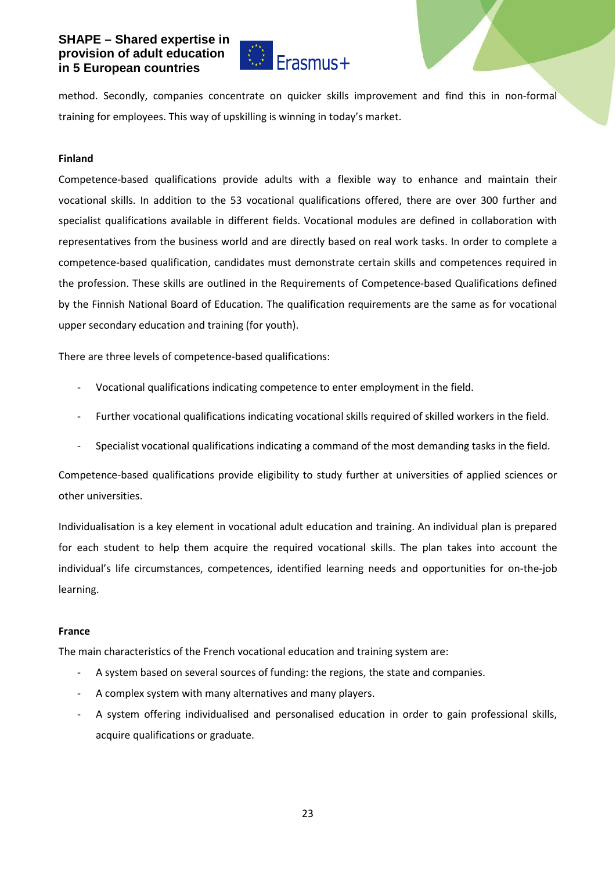

method. Secondly, companies concentrate on quicker skills improvement and find this in non-formal training for employees. This way of upskilling is winning in today's market.

#### **Finland**

Competence-based qualifications provide adults with a flexible way to enhance and maintain their vocational skills. In addition to the 53 vocational qualifications offered, there are over 300 further and specialist qualifications available in different fields. Vocational modules are defined in collaboration with representatives from the business world and are directly based on real work tasks. In order to complete a competence-based qualification, candidates must demonstrate certain skills and competences required in the profession. These skills are outlined in the Requirements of Competence-based Qualifications defined by the Finnish National Board of Education. The qualification requirements are the same as for vocational upper secondary education and training (for youth).

There are three levels of competence-based qualifications:

- Vocational qualifications indicating competence to enter employment in the field.
- Further vocational qualifications indicating vocational skills required of skilled workers in the field.
- Specialist vocational qualifications indicating a command of the most demanding tasks in the field.

Competence-based qualifications provide eligibility to study further at universities of applied sciences or other universities.

Individualisation is a key element in vocational adult education and training. An individual plan is prepared for each student to help them acquire the required vocational skills. The plan takes into account the individual's life circumstances, competences, identified learning needs and opportunities for on-the-job learning.

#### **France**

The main characteristics of the French vocational education and training system are:

- A system based on several sources of funding: the regions, the state and companies.
- A complex system with many alternatives and many players.
- A system offering individualised and personalised education in order to gain professional skills, acquire qualifications or graduate.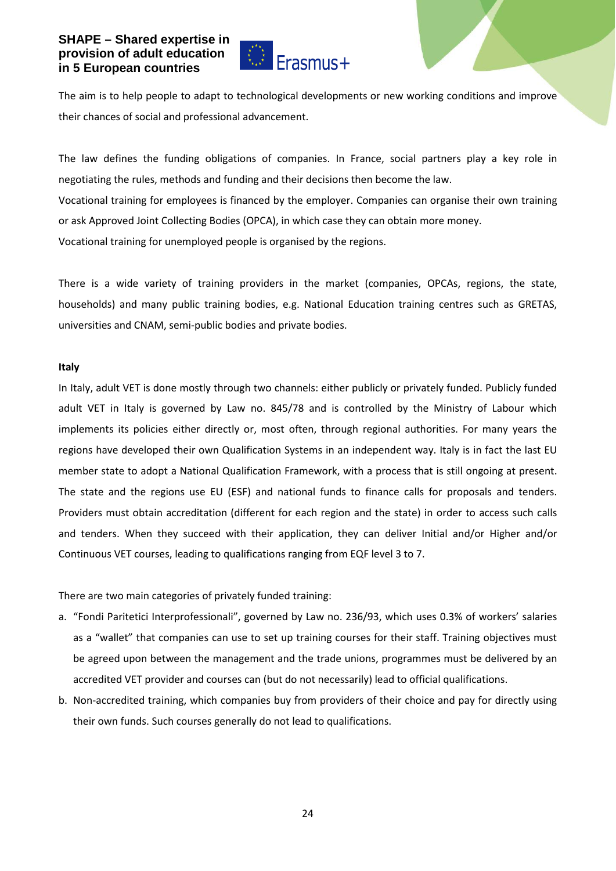

The aim is to help people to adapt to technological developments or new working conditions and improve their chances of social and professional advancement.

The law defines the funding obligations of companies. In France, social partners play a key role in negotiating the rules, methods and funding and their decisions then become the law. Vocational training for employees is financed by the employer. Companies can organise their own training or ask Approved Joint Collecting Bodies (OPCA), in which case they can obtain more money. Vocational training for unemployed people is organised by the regions.

There is a wide variety of training providers in the market (companies, OPCAs, regions, the state, households) and many public training bodies, e.g. National Education training centres such as GRETAS, universities and CNAM, semi-public bodies and private bodies.

#### **Italy**

In Italy, adult VET is done mostly through two channels: either publicly or privately funded. Publicly funded adult VET in Italy is governed by Law no. 845/78 and is controlled by the Ministry of Labour which implements its policies either directly or, most often, through regional authorities. For many years the regions have developed their own Qualification Systems in an independent way. Italy is in fact the last EU member state to adopt a National Qualification Framework, with a process that is still ongoing at present. The state and the regions use EU (ESF) and national funds to finance calls for proposals and tenders. Providers must obtain accreditation (different for each region and the state) in order to access such calls and tenders. When they succeed with their application, they can deliver Initial and/or Higher and/or Continuous VET courses, leading to qualifications ranging from EQF level 3 to 7.

There are two main categories of privately funded training:

- a. "Fondi Paritetici Interprofessionali", governed by Law no. 236/93, which uses 0.3% of workers' salaries as a "wallet" that companies can use to set up training courses for their staff. Training objectives must be agreed upon between the management and the trade unions, programmes must be delivered by an accredited VET provider and courses can (but do not necessarily) lead to official qualifications.
- b. Non-accredited training, which companies buy from providers of their choice and pay for directly using their own funds. Such courses generally do not lead to qualifications.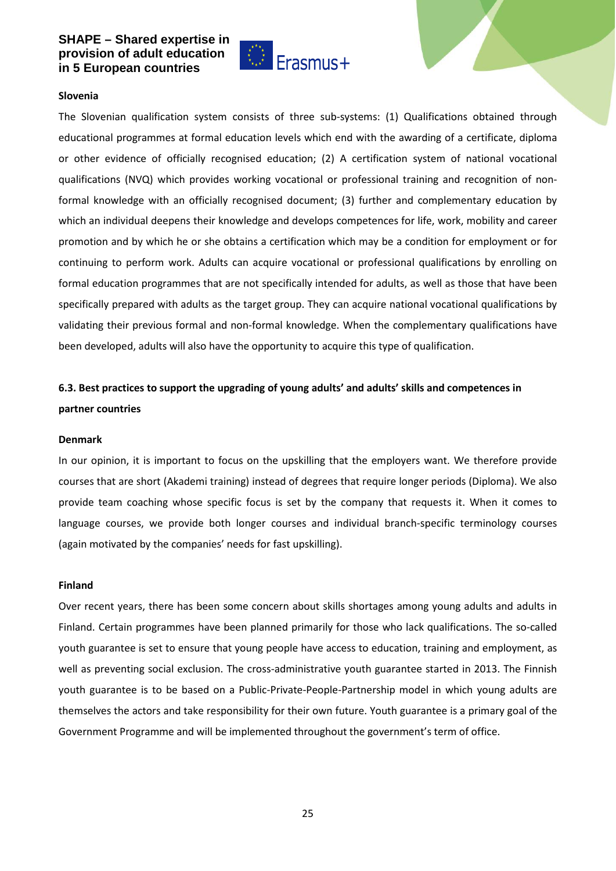

#### **Slovenia**

The Slovenian qualification system consists of three sub-systems: (1) Qualifications obtained through educational programmes at formal education levels which end with the awarding of a certificate, diploma or other evidence of officially recognised education; (2) A certification system of national vocational qualifications (NVQ) which provides working vocational or professional training and recognition of nonformal knowledge with an officially recognised document; (3) further and complementary education by which an individual deepens their knowledge and develops competences for life, work, mobility and career promotion and by which he or she obtains a certification which may be a condition for employment or for continuing to perform work. Adults can acquire vocational or professional qualifications by enrolling on formal education programmes that are not specifically intended for adults, as well as those that have been specifically prepared with adults as the target group. They can acquire national vocational qualifications by validating their previous formal and non-formal knowledge. When the complementary qualifications have been developed, adults will also have the opportunity to acquire this type of qualification.

## **6.3. Best practices to support the upgrading of young adults' and adults' skills and competences in partner countries**

#### **Denmark**

In our opinion, it is important to focus on the upskilling that the employers want. We therefore provide courses that are short (Akademi training) instead of degrees that require longer periods (Diploma). We also provide team coaching whose specific focus is set by the company that requests it. When it comes to language courses, we provide both longer courses and individual branch-specific terminology courses (again motivated by the companies' needs for fast upskilling).

#### **Finland**

Over recent years, there has been some concern about skills shortages among young adults and adults in Finland. Certain programmes have been planned primarily for those who lack qualifications. The so-called youth guarantee is set to ensure that young people have access to education, training and employment, as well as preventing social exclusion. The cross-administrative youth guarantee started in 2013. The Finnish youth guarantee is to be based on a Public-Private-People-Partnership model in which young adults are themselves the actors and take responsibility for their own future. Youth guarantee is a primary goal of the Government Programme and will be implemented throughout the government's term of office.

25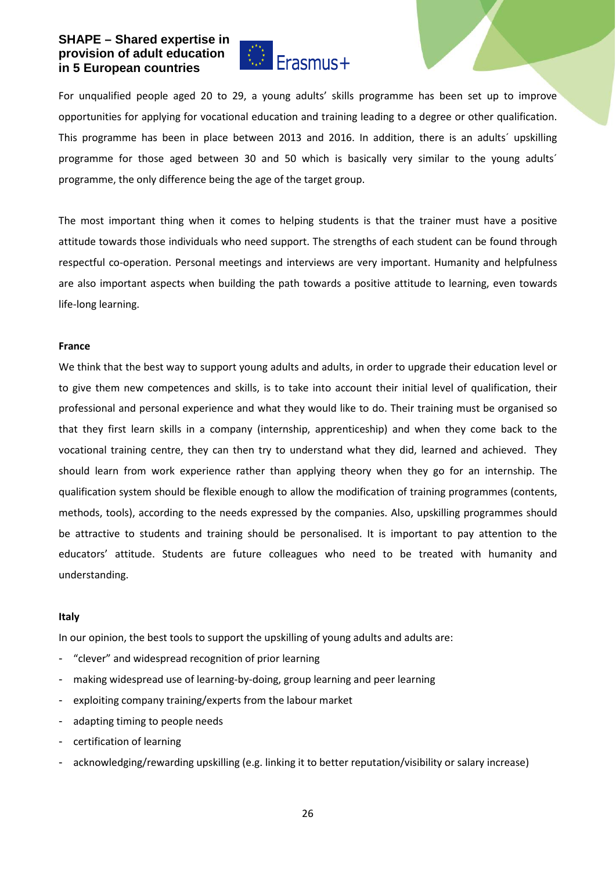

For unqualified people aged 20 to 29, a young adults' skills programme has been set up to improve opportunities for applying for vocational education and training leading to a degree or other qualification. This programme has been in place between 2013 and 2016. In addition, there is an adults´ upskilling programme for those aged between 30 and 50 which is basically very similar to the young adults´ programme, the only difference being the age of the target group.

The most important thing when it comes to helping students is that the trainer must have a positive attitude towards those individuals who need support. The strengths of each student can be found through respectful co-operation. Personal meetings and interviews are very important. Humanity and helpfulness are also important aspects when building the path towards a positive attitude to learning, even towards life-long learning.

#### **France**

We think that the best way to support young adults and adults, in order to upgrade their education level or to give them new competences and skills, is to take into account their initial level of qualification, their professional and personal experience and what they would like to do. Their training must be organised so that they first learn skills in a company (internship, apprenticeship) and when they come back to the vocational training centre, they can then try to understand what they did, learned and achieved. They should learn from work experience rather than applying theory when they go for an internship. The qualification system should be flexible enough to allow the modification of training programmes (contents, methods, tools), according to the needs expressed by the companies. Also, upskilling programmes should be attractive to students and training should be personalised. It is important to pay attention to the educators' attitude. Students are future colleagues who need to be treated with humanity and understanding.

#### **Italy**

In our opinion, the best tools to support the upskilling of young adults and adults are:

- "clever" and widespread recognition of prior learning
- making widespread use of learning-by-doing, group learning and peer learning
- exploiting company training/experts from the labour market
- adapting timing to people needs
- certification of learning
- acknowledging/rewarding upskilling (e.g. linking it to better reputation/visibility or salary increase)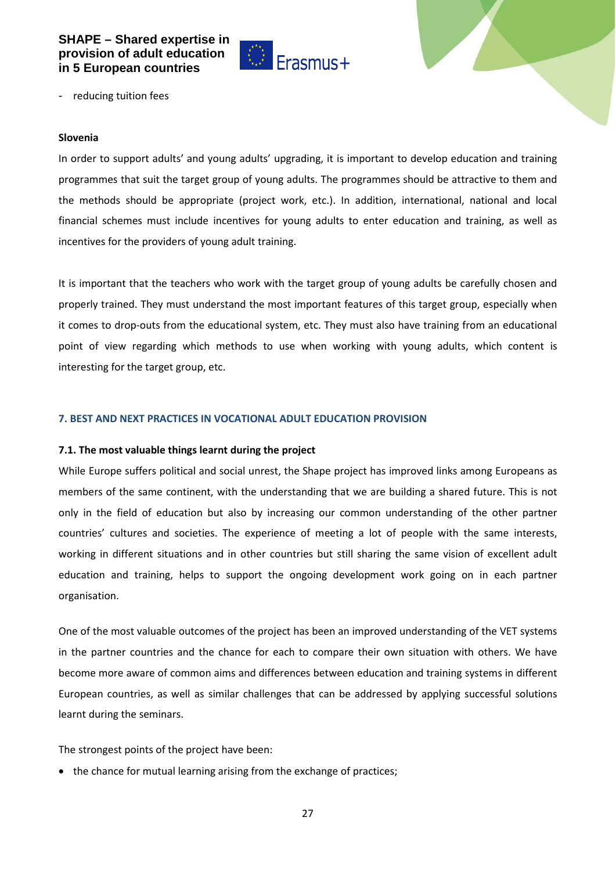

- reducing tuition fees

#### **Slovenia**

In order to support adults' and young adults' upgrading, it is important to develop education and training programmes that suit the target group of young adults. The programmes should be attractive to them and the methods should be appropriate (project work, etc.). In addition, international, national and local financial schemes must include incentives for young adults to enter education and training, as well as incentives for the providers of young adult training.

It is important that the teachers who work with the target group of young adults be carefully chosen and properly trained. They must understand the most important features of this target group, especially when it comes to drop-outs from the educational system, etc. They must also have training from an educational point of view regarding which methods to use when working with young adults, which content is interesting for the target group, etc.

## **7. BEST AND NEXT PRACTICES IN VOCATIONAL ADULT EDUCATION PROVISION**

#### **7.1. The most valuable things learnt during the project**

While Europe suffers political and social unrest, the Shape project has improved links among Europeans as members of the same continent, with the understanding that we are building a shared future. This is not only in the field of education but also by increasing our common understanding of the other partner countries' cultures and societies. The experience of meeting a lot of people with the same interests, working in different situations and in other countries but still sharing the same vision of excellent adult education and training, helps to support the ongoing development work going on in each partner organisation.

One of the most valuable outcomes of the project has been an improved understanding of the VET systems in the partner countries and the chance for each to compare their own situation with others. We have become more aware of common aims and differences between education and training systems in different European countries, as well as similar challenges that can be addressed by applying successful solutions learnt during the seminars.

The strongest points of the project have been:

• the chance for mutual learning arising from the exchange of practices;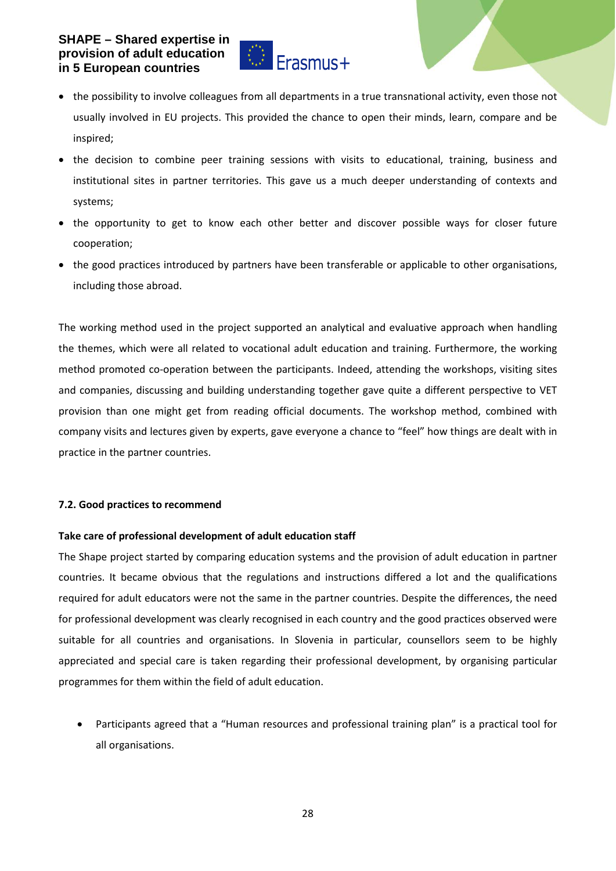

- the possibility to involve colleagues from all departments in a true transnational activity, even those not usually involved in EU projects. This provided the chance to open their minds, learn, compare and be inspired;
- the decision to combine peer training sessions with visits to educational, training, business and institutional sites in partner territories. This gave us a much deeper understanding of contexts and systems;
- the opportunity to get to know each other better and discover possible ways for closer future cooperation;
- the good practices introduced by partners have been transferable or applicable to other organisations, including those abroad.

The working method used in the project supported an analytical and evaluative approach when handling the themes, which were all related to vocational adult education and training. Furthermore, the working method promoted co-operation between the participants. Indeed, attending the workshops, visiting sites and companies, discussing and building understanding together gave quite a different perspective to VET provision than one might get from reading official documents. The workshop method, combined with company visits and lectures given by experts, gave everyone a chance to "feel" how things are dealt with in practice in the partner countries.

## **7.2. Good practices to recommend**

## **Take care of professional development of adult education staff**

The Shape project started by comparing education systems and the provision of adult education in partner countries. It became obvious that the regulations and instructions differed a lot and the qualifications required for adult educators were not the same in the partner countries. Despite the differences, the need for professional development was clearly recognised in each country and the good practices observed were suitable for all countries and organisations. In Slovenia in particular, counsellors seem to be highly appreciated and special care is taken regarding their professional development, by organising particular programmes for them within the field of adult education.

• Participants agreed that a "Human resources and professional training plan" is a practical tool for all organisations.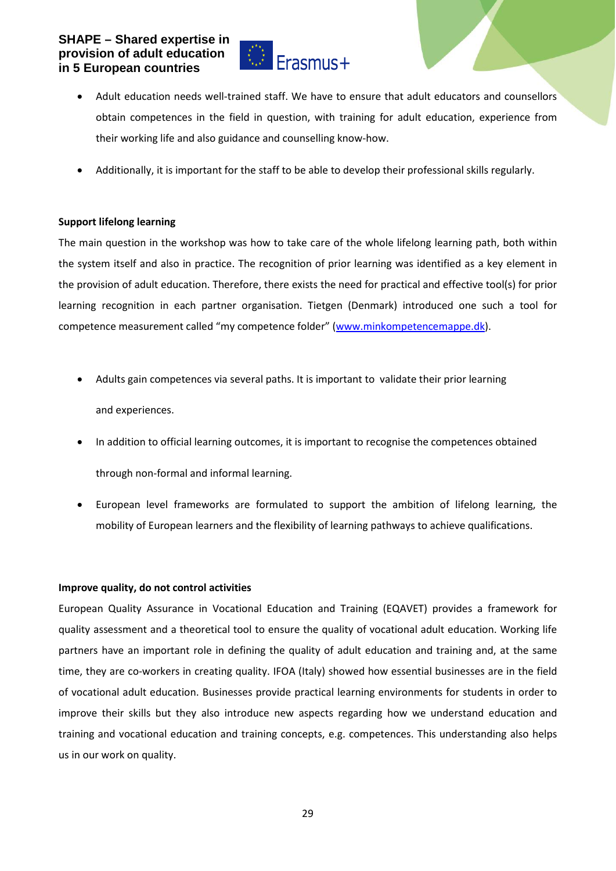

- Adult education needs well-trained staff. We have to ensure that adult educators and counsellors obtain competences in the field in question, with training for adult education, experience from their working life and also guidance and counselling know-how.
- Additionally, it is important for the staff to be able to develop their professional skills regularly.

## **Support lifelong learning**

The main question in the workshop was how to take care of the whole lifelong learning path, both within the system itself and also in practice. The recognition of prior learning was identified as a key element in the provision of adult education. Therefore, there exists the need for practical and effective tool(s) for prior learning recognition in each partner organisation. Tietgen (Denmark) introduced one such a tool for competence measurement called "my competence folder" [\(www.minkompetencemappe.dk\)](http://www.minkompetencemappe.dk/).

- Adults gain competences via several paths. It is important to validate their prior learning and experiences.
- In addition to official learning outcomes, it is important to recognise the competences obtained through non-formal and informal learning.
- European level frameworks are formulated to support the ambition of lifelong learning, the mobility of European learners and the flexibility of learning pathways to achieve qualifications.

## **Improve quality, do not control activities**

European Quality Assurance in Vocational Education and Training (EQAVET) provides a framework for quality assessment and a theoretical tool to ensure the quality of vocational adult education. Working life partners have an important role in defining the quality of adult education and training and, at the same time, they are co-workers in creating quality. IFOA (Italy) showed how essential businesses are in the field of vocational adult education. Businesses provide practical learning environments for students in order to improve their skills but they also introduce new aspects regarding how we understand education and training and vocational education and training concepts, e.g. competences. This understanding also helps us in our work on quality.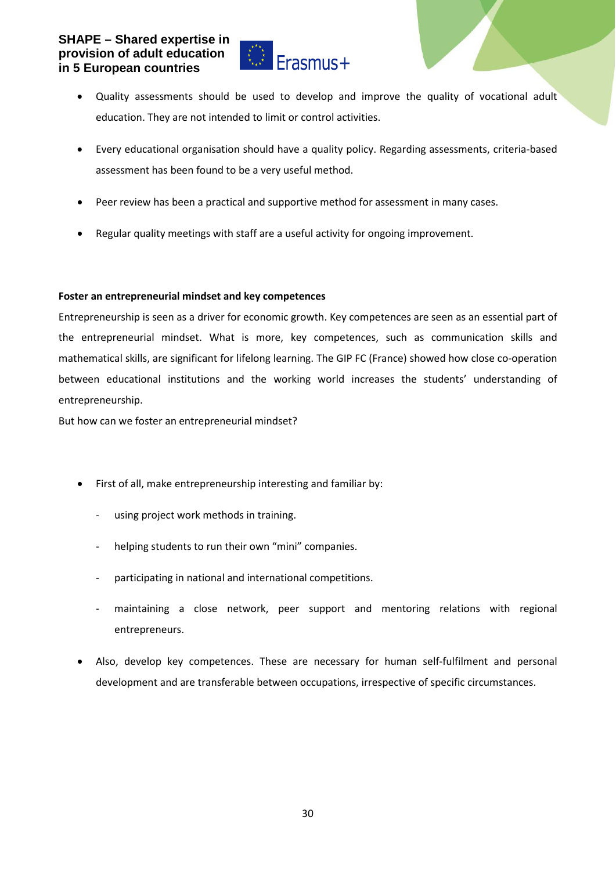

- Quality assessments should be used to develop and improve the quality of vocational adult education. They are not intended to limit or control activities.
- Every educational organisation should have a quality policy. Regarding assessments, criteria-based assessment has been found to be a very useful method.
- Peer review has been a practical and supportive method for assessment in many cases.
- Regular quality meetings with staff are a useful activity for ongoing improvement.

## **Foster an entrepreneurial mindset and key competences**

Entrepreneurship is seen as a driver for economic growth. Key competences are seen as an essential part of the entrepreneurial mindset. What is more, key competences, such as communication skills and mathematical skills, are significant for lifelong learning. The GIP FC (France) showed how close co-operation between educational institutions and the working world increases the students' understanding of entrepreneurship.

But how can we foster an entrepreneurial mindset?

- First of all, make entrepreneurship interesting and familiar by:
	- using project work methods in training.
	- helping students to run their own "mini" companies.
	- participating in national and international competitions.
	- maintaining a close network, peer support and mentoring relations with regional entrepreneurs.
- Also, develop key competences. These are necessary for human self-fulfilment and personal development and are transferable between occupations, irrespective of specific circumstances.